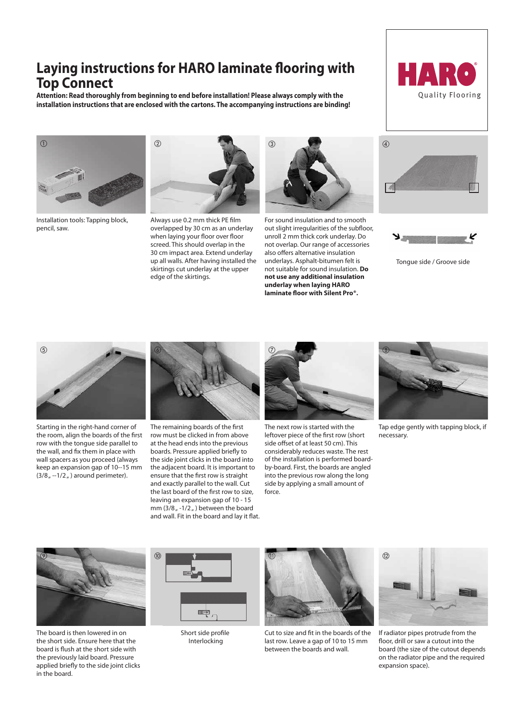## **Laying instructions for HARO laminate flooring with Top Connect**

**Attention: Read thoroughly from beginning to end before installation! Please always comply with the installation instructions that are enclosed with the cartons. The accompanying instructions are binding!** 





Installation tools: Tapping block, pencil, saw.



Always use 0.2 mm thick PE film overlapped by 30 cm as an underlay when laying your floor over floor screed. This should overlap in the 30 cm impact area. Extend underlay up all walls. After having installed the skirtings cut underlay at the upper edge of the skirtings.



For sound insulation and to smooth out slight irregularities of the subfloor, unroll 2 mm thick cork underlay. Do not overlap. Our range of accessories also offers alternative insulation underlays. Asphalt-bitumen felt is not suitable for sound insulation. **Do not use any additional insulation underlay when laying HARO laminate floor with Silent Pro®.**





Tongue side / Groove side



Starting in the right-hand corner of the room, align the boards of the first row with the tongue side parallel to the wall, and fix them in place with wall spacers as you proceed (always keep an expansion gap of 10--15 mm  $(3/8, -1/2, )$  around perimeter).



The remaining boards of the first row must be clicked in from above at the head ends into the previous boards. Pressure applied briefly to the side joint clicks in the board into the adjacent board. It is important to ensure that the first row is straight and exactly parallel to the wall. Cut the last board of the first row to size, leaving an expansion gap of 10 - 15 mm  $(3/8<sub>u</sub> - 1/2<sub>u</sub>)$  between the board and wall. Fit in the board and lay it flat.



The next row is started with the leftover piece of the first row (short side offset of at least 50 cm). This considerably reduces waste. The rest of the installation is performed boardby-board. First, the boards are angled into the previous row along the long side by applying a small amount of force.



Tap edge gently with tapping block, if necessary.



The board is then lowered in on the short side. Ensure here that the board is flush at the short side with the previously laid board. Pressure applied briefly to the side joint clicks in the board.



Short side profile Interlocking



Cut to size and fit in the boards of the last row. Leave a gap of 10 to 15 mm between the boards and wall.



If radiator pipes protrude from the floor, drill or saw a cutout into the board (the size of the cutout depends on the radiator pipe and the required expansion space).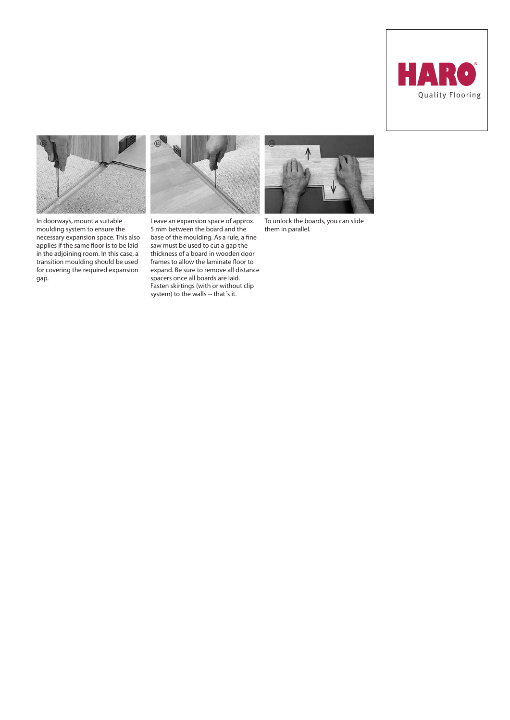



In doorways, mount a suitable moulding system to ensure the necessary expansion space. This also applies if the same floor is to be laid in the adjoining room. In this case, a transition moulding should be used for covering the required expansion gap.



Leave an expansion space of approx. 5 mm between the board and the base of the moulding. As a rule, a fine saw must be used to cut a gap the thickness of a board in wooden door frames to allow the laminate floor to expand. Be sure to remove all distance spacers once all boards are laid. Fasten skirtings (with or without clip system) to the walls -- that´s it.



To unlock the boards, you can slide them in parallel.